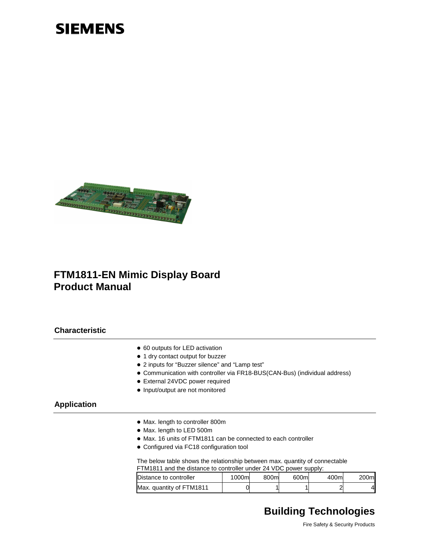# **SIEMENS**



## **FTM1811-EN Mimic Display Board Product Manual**

#### **Characteristic**

- 60 outputs for LED activation
- $\bullet$  1 dry contact output for buzzer
- 2 inputs for "Buzzer silence" and "Lamp test"
- Communication with controller via FR18-BUS(CAN-Bus) (individual address)
- External 24VDC power required
- Input/output are not monitored

#### **Application**

- Max. length to controller 800m
- Max. length to LED 500m
- Max. 16 units of FTM1811 can be connected to each controller
- Configured via FC18 configuration tool

The below table shows the relationship between max. quantity of connectable FTM1811 and the distance to controller under 24 VDC power supply:

| Distance to controller   | 1000ml | 800ml | 600ml | 400ml | 200ml |
|--------------------------|--------|-------|-------|-------|-------|
| Max. quantity of FTM1811 |        |       |       |       | 41    |

# **Building Technologies**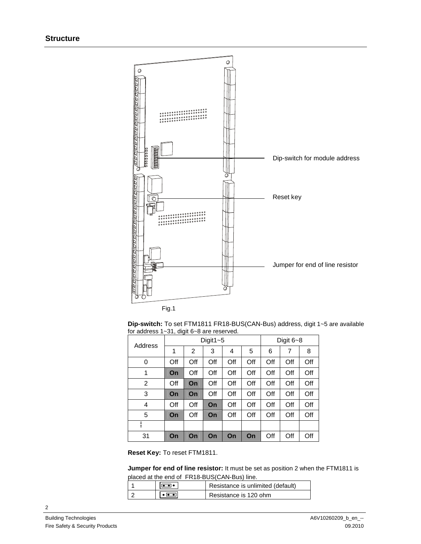

Fig.1

**Dip-switch:** To set FTM1811 FR18-BUS(CAN-Bus) address, digit 1~5 are available for address 1~31, digit 6~8 are reserved.

| Address | Digit $1 - 5$ |     |     |     |     | Digit $6 - 8$ |     |     |
|---------|---------------|-----|-----|-----|-----|---------------|-----|-----|
|         | 1             | 2   | 3   | 4   | 5   | 6             | 7   | 8   |
| 0       | Off           | Off | Off | Off | Off | Off           | Off | Off |
| 1       | On            | Off | Off | Off | Off | Off           | Off | Off |
| 2       | Off           | On  | Off | Off | Off | Off           | Off | Off |
| 3       | On            | On  | Off | Off | Off | Off           | Off | Off |
| 4       | Off           | Off | On  | Off | Off | Off           | Off | Off |
| 5       | On            | Off | On  | Off | Off | Off           | Off | Off |
| ŧ       |               |     |     |     |     |               |     |     |
| 31      | On            | On  | On  | On  | On  | Off           | Off | Off |

**Reset Key:** To reset FTM1811.

**Jumper for end of line resistor:** It must be set as position 2 when the FTM1811 is placed at the end of FR18-BUS(CAN-Bus) line.

|  | Resistance is unlimited (default) |
|--|-----------------------------------|
|  | Resistance is 120 ohm             |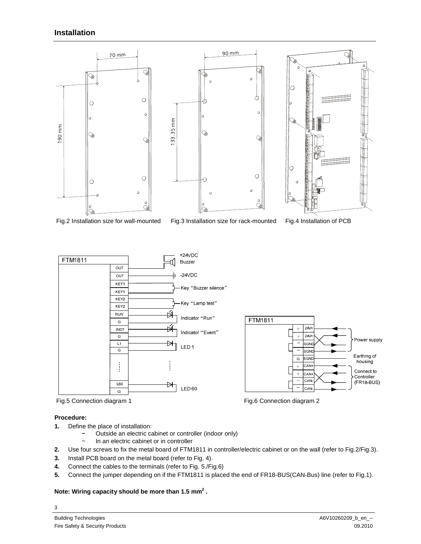#### **Installation**



- 
- Fig.2 Installation size for wall-mounted Fig.3 Installation size for rack-mounted Fig.4 Installation of PCB









#### **Procedure:**

3

- **1.** Define the place of installation:
	- Outside an electric cabinet or controller (indoor only)
	- In an electric cabinet or in controller
- **2.** Use four screws to fix the metal board of FTM1811 in controller/electric cabinet or on the wall (refer to Fig.2/Fig.3).
- **3.** Install PCB board on the metal board (refer to Fig. 4).
- **4.** Connect the cables to the terminals (refer to Fig. 5./Fig.6)
- **5.** Connect the jumper depending on if the FTM1811 is placed the end of FR18-BUS(CAN-Bus) line (refer to Fig.1).

#### **Note: Wiring capacity should be more than 1.5 mm<sup>2</sup> .**